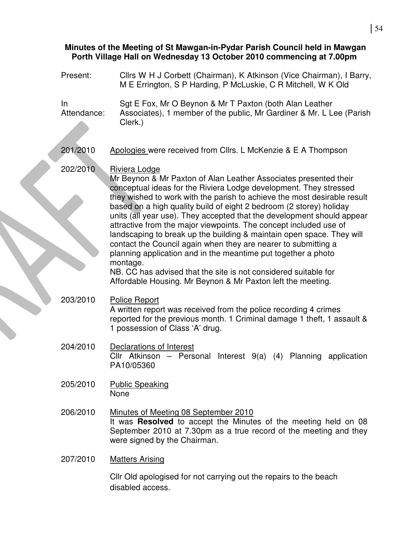|  | Minutes of the Meeting of St Mawgan-in-Pydar Parish Council held in Mawgan<br>Porth Village Hall on Wednesday 13 October 2010 commencing at 7.00pm |                                                                                                                                                                                                                                                                                                                                                                                                                                                                                                                                                                                                                                                                                                                                                                                                                           |  |  |  |  |
|--|----------------------------------------------------------------------------------------------------------------------------------------------------|---------------------------------------------------------------------------------------------------------------------------------------------------------------------------------------------------------------------------------------------------------------------------------------------------------------------------------------------------------------------------------------------------------------------------------------------------------------------------------------------------------------------------------------------------------------------------------------------------------------------------------------------------------------------------------------------------------------------------------------------------------------------------------------------------------------------------|--|--|--|--|
|  | Present:                                                                                                                                           | Cllrs W H J Corbett (Chairman), K Atkinson (Vice Chairman), I Barry,<br>M E Errington, S P Harding, P McLuskie, C R Mitchell, W K Old                                                                                                                                                                                                                                                                                                                                                                                                                                                                                                                                                                                                                                                                                     |  |  |  |  |
|  | $\ln$<br>Attendance:                                                                                                                               | Sgt E Fox, Mr O Beynon & Mr T Paxton (both Alan Leather<br>Associates), 1 member of the public, Mr Gardiner & Mr. L Lee (Parish<br>Clerk.)                                                                                                                                                                                                                                                                                                                                                                                                                                                                                                                                                                                                                                                                                |  |  |  |  |
|  | 201/2010                                                                                                                                           | Apologies were received from Cllrs. L McKenzie & E A Thompson                                                                                                                                                                                                                                                                                                                                                                                                                                                                                                                                                                                                                                                                                                                                                             |  |  |  |  |
|  | 202/2010                                                                                                                                           | <b>Riviera Lodge</b><br>Mr Beynon & Mr Paxton of Alan Leather Associates presented their<br>conceptual ideas for the Riviera Lodge development. They stressed<br>they wished to work with the parish to achieve the most desirable result<br>based on a high quality build of eight 2 bedroom (2 storey) holiday<br>units (all year use). They accepted that the development should appear<br>attractive from the major viewpoints. The concept included use of<br>landscaping to break up the building & maintain open space. They will<br>contact the Council again when they are nearer to submitting a<br>planning application and in the meantime put together a photo<br>montage.<br>NB. CC has advised that the site is not considered suitable for<br>Affordable Housing. Mr Beynon & Mr Paxton left the meeting. |  |  |  |  |
|  | 203/2010                                                                                                                                           | <b>Police Report</b><br>A written report was received from the police recording 4 crimes<br>reported for the previous month. 1 Criminal damage 1 theft, 1 assault &<br>1 possession of Class 'A' drug.                                                                                                                                                                                                                                                                                                                                                                                                                                                                                                                                                                                                                    |  |  |  |  |
|  | 204/2010                                                                                                                                           | Declarations of Interest<br>Cllr Atkinson – Personal Interest $9(a)$ (4) Planning application<br>PA10/05360                                                                                                                                                                                                                                                                                                                                                                                                                                                                                                                                                                                                                                                                                                               |  |  |  |  |
|  | 205/2010                                                                                                                                           | <b>Public Speaking</b><br>None                                                                                                                                                                                                                                                                                                                                                                                                                                                                                                                                                                                                                                                                                                                                                                                            |  |  |  |  |
|  | 206/2010                                                                                                                                           | Minutes of Meeting 08 September 2010<br>It was Resolved to accept the Minutes of the meeting held on 08<br>September 2010 at 7.30pm as a true record of the meeting and they<br>were signed by the Chairman.                                                                                                                                                                                                                                                                                                                                                                                                                                                                                                                                                                                                              |  |  |  |  |
|  | 207/2010                                                                                                                                           | <b>Matters Arising</b>                                                                                                                                                                                                                                                                                                                                                                                                                                                                                                                                                                                                                                                                                                                                                                                                    |  |  |  |  |
|  |                                                                                                                                                    | Cllr Old apologised for not carrying out the repairs to the beach<br>disabled access.                                                                                                                                                                                                                                                                                                                                                                                                                                                                                                                                                                                                                                                                                                                                     |  |  |  |  |

J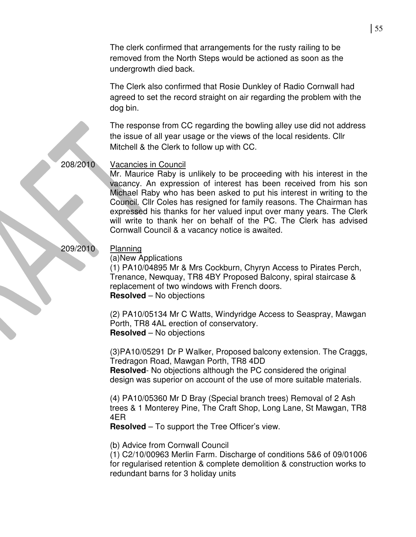The clerk confirmed that arrangements for the rusty railing to be removed from the North Steps would be actioned as soon as the undergrowth died back.

The Clerk also confirmed that Rosie Dunkley of Radio Cornwall had agreed to set the record straight on air regarding the problem with the dog bin.

The response from CC regarding the bowling alley use did not address the issue of all year usage or the views of the local residents. Cllr Mitchell & the Clerk to follow up with CC.

## 208/2010 Vacancies in Council

Mr. Maurice Raby is unlikely to be proceeding with his interest in the vacancy. An expression of interest has been received from his son Michael Raby who has been asked to put his interest in writing to the Council. Cllr Coles has resigned for family reasons. The Chairman has expressed his thanks for her valued input over many years. The Clerk will write to thank her on behalf of the PC. The Clerk has advised Cornwall Council & a vacancy notice is awaited.

# 209/2010 Planning

(a)New Applications

(1) PA10/04895 Mr & Mrs Cockburn, Chyryn Access to Pirates Perch, Trenance, Newquay, TR8 4BY Proposed Balcony, spiral staircase & replacement of two windows with French doors. **Resolved** – No objections

(2) PA10/05134 Mr C Watts, Windyridge Access to Seaspray, Mawgan Porth, TR8 4AL erection of conservatory. **Resolved** – No objections

(3)PA10/05291 Dr P Walker, Proposed balcony extension. The Craggs, Tredragon Road, Mawgan Porth, TR8 4DD

**Resolved**- No objections although the PC considered the original design was superior on account of the use of more suitable materials.

(4) PA10/05360 Mr D Bray (Special branch trees) Removal of 2 Ash trees & 1 Monterey Pine, The Craft Shop, Long Lane, St Mawgan, TR8 4ER

**Resolved** – To support the Tree Officer's view.

(b) Advice from Cornwall Council

(1) C2/10/00963 Merlin Farm. Discharge of conditions 5&6 of 09/01006 for regularised retention & complete demolition & construction works to redundant barns for 3 holiday units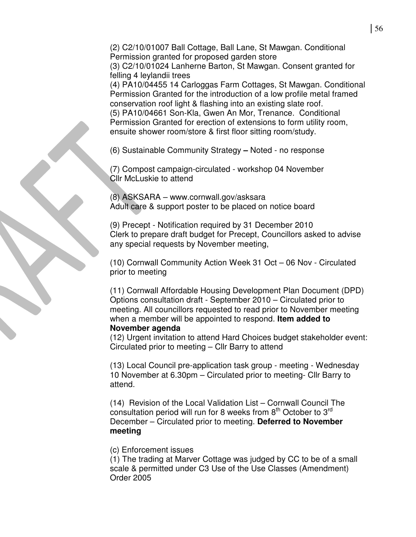(2) C2/10/01007 Ball Cottage, Ball Lane, St Mawgan. Conditional Permission granted for proposed garden store (3) C2/10/01024 Lanherne Barton, St Mawgan. Consent granted for felling 4 leylandii trees

(4) PA10/04455 14 Carloggas Farm Cottages, St Mawgan. Conditional Permission Granted for the introduction of a low profile metal framed conservation roof light & flashing into an existing slate roof. (5) PA10/04661 Son-Kla, Gwen An Mor, Trenance. Conditional Permission Granted for erection of extensions to form utility room, ensuite shower room/store & first floor sitting room/study.

(6) Sustainable Community Strategy **–** Noted - no response

(7) Compost campaign-circulated - workshop 04 November Cllr McLuskie to attend

(8) ASKSARA – www.cornwall.gov/asksara Adult care & support poster to be placed on notice board

(9) Precept - Notification required by 31 December 2010 Clerk to prepare draft budget for Precept, Councillors asked to advise any special requests by November meeting,

(10) Cornwall Community Action Week 31 Oct – 06 Nov - Circulated prior to meeting

(11) Cornwall Affordable Housing Development Plan Document (DPD) Options consultation draft - September 2010 – Circulated prior to meeting. All councillors requested to read prior to November meeting when a member will be appointed to respond. **Item added to November agenda** 

(12) Urgent invitation to attend Hard Choices budget stakeholder event: Circulated prior to meeting – Cllr Barry to attend

(13) Local Council pre-application task group - meeting - Wednesday 10 November at 6.30pm – Circulated prior to meeting- Cllr Barry to attend.

(14) Revision of the Local Validation List – Cornwall Council The consultation period will run for 8 weeks from  $8<sup>th</sup>$  October to  $3<sup>rd</sup>$ December – Circulated prior to meeting. **Deferred to November meeting** 

(c) Enforcement issues

(1) The trading at Marver Cottage was judged by CC to be of a small scale & permitted under C3 Use of the Use Classes (Amendment) Order 2005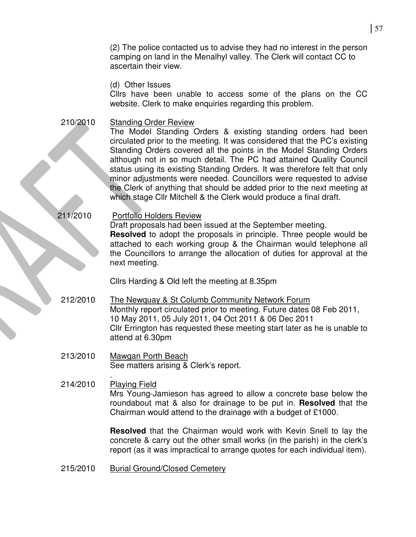(2) The police contacted us to advise they had no interest in the person camping on land in the Menalhyl valley. The Clerk will contact CC to ascertain their view.

(d) Other Issues

Cllrs have been unable to access some of the plans on the CC website. Clerk to make enquiries regarding this problem.

210/2010 Standing Order Review

The Model Standing Orders & existing standing orders had been circulated prior to the meeting. It was considered that the PC's existing Standing Orders covered all the points in the Model Standing Orders although not in so much detail. The PC had attained Quality Council status using its existing Standing Orders. It was therefore felt that only minor adjustments were needed. Councillors were requested to advise the Clerk of anything that should be added prior to the next meeting at which stage Cllr Mitchell & the Clerk would produce a final draft.

### 211/2010 Portfolio Holders Review

Draft proposals had been issued at the September meeting. **Resolved** to adopt the proposals in principle. Three people would be attached to each working group & the Chairman would telephone all the Councillors to arrange the allocation of duties for approval at the next meeting.

Cllrs Harding & Old left the meeting at 8.35pm

- 212/2010 The Newquay & St Columb Community Network Forum Monthly report circulated prior to meeting. Future dates 08 Feb 2011, 10 May 2011, 05 July 2011, 04 Oct 2011 & 06 Dec 2011 Cllr Errington has requested these meeting start later as he is unable to attend at 6.30pm
- 213/2010 Mawgan Porth Beach See matters arising & Clerk's report.

### . 214/2010 Playing Field

Mrs Young-Jamieson has agreed to allow a concrete base below the roundabout mat & also for drainage to be put in. **Resolved** that the Chairman would attend to the drainage with a budget of £1000.

**Resolved** that the Chairman would work with Kevin Snell to lay the concrete & carry out the other small works (in the parish) in the clerk's report (as it was impractical to arrange quotes for each individual item).

215/2010 Burial Ground/Closed Cemetery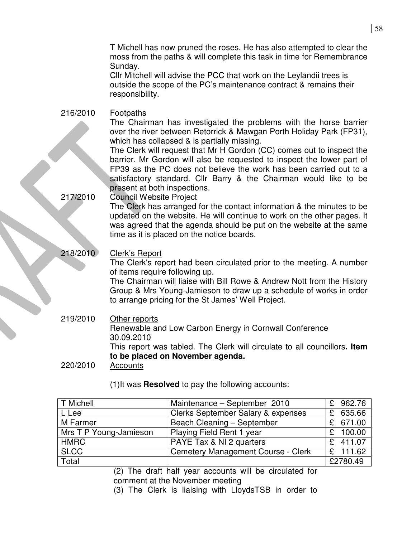|                      | T Michell has now pruned the roses. He has also attempted to clear the<br>moss from the paths & will complete this task in time for Remembrance<br>Sunday.<br>Cllr Mitchell will advise the PCC that work on the Leylandii trees is<br>outside the scope of the PC's maintenance contract & remains their<br>responsibility.                                                                                                                                                                                                                                                                                                                                                                                                                                                                                                                           |
|----------------------|--------------------------------------------------------------------------------------------------------------------------------------------------------------------------------------------------------------------------------------------------------------------------------------------------------------------------------------------------------------------------------------------------------------------------------------------------------------------------------------------------------------------------------------------------------------------------------------------------------------------------------------------------------------------------------------------------------------------------------------------------------------------------------------------------------------------------------------------------------|
| 216/2010<br>217/2010 | <b>Footpaths</b><br>The Chairman has investigated the problems with the horse barrier<br>over the river between Retorrick & Mawgan Porth Holiday Park (FP31),<br>which has collapsed & is partially missing.<br>The Clerk will request that Mr H Gordon (CC) comes out to inspect the<br>barrier. Mr Gordon will also be requested to inspect the lower part of<br>FP39 as the PC does not believe the work has been carried out to a<br>satisfactory standard. Cllr Barry & the Chairman would like to be<br>present at both inspections.<br><b>Council Website Project</b><br>The Clerk has arranged for the contact information & the minutes to be<br>updated on the website. He will continue to work on the other pages. It<br>was agreed that the agenda should be put on the website at the same<br>time as it is placed on the notice boards. |
| 218/2010             | Clerk's Report<br>The Clerk's report had been circulated prior to the meeting. A number<br>of items require following up.<br>The Chairman will liaise with Bill Rowe & Andrew Nott from the History<br>Group & Mrs Young-Jamieson to draw up a schedule of works in order<br>to arrange pricing for the St James' Well Project.                                                                                                                                                                                                                                                                                                                                                                                                                                                                                                                        |
| 219/2010<br>220/2010 | Other reports<br>Renewable and Low Carbon Energy in Cornwall Conference<br>30.09.2010<br>This report was tabled. The Clerk will circulate to all councillors. Item<br>to be placed on November agenda.<br><b>Accounts</b>                                                                                                                                                                                                                                                                                                                                                                                                                                                                                                                                                                                                                              |
|                      | (1) It was <b>Resolved</b> to pay the following accounts:                                                                                                                                                                                                                                                                                                                                                                                                                                                                                                                                                                                                                                                                                                                                                                                              |

| T Michell              | Maintenance - September 2010              | 962.76      |
|------------------------|-------------------------------------------|-------------|
| L Lee                  | Clerks September Salary & expenses        | 635.66<br>£ |
| M Farmer               | Beach Cleaning - September                | £ 671.00    |
| Mrs T P Young-Jamieson | Playing Field Rent 1 year                 | 100.00      |
| <b>HMRC</b>            | PAYE Tax & NI 2 quarters                  | £ 411.07    |
| <b>SLCC</b>            | <b>Cemetery Management Course - Clerk</b> | £ 111.62    |
| Total                  |                                           | £2780.49    |

(2) The draft half year accounts will be circulated for comment at the November meeting

(3) The Clerk is liaising with LloydsTSB in order to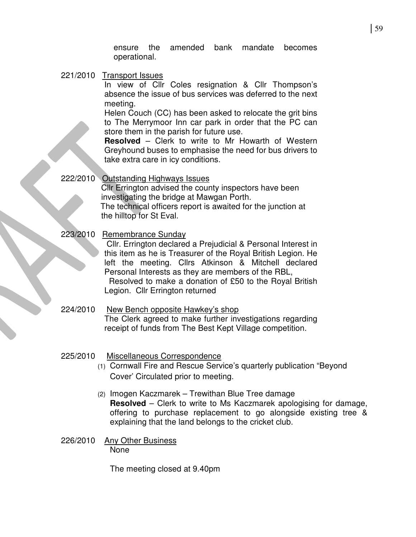ensure the amended bank mandate becomes operational.

221/2010 Transport Issues

In view of Cllr Coles resignation & Cllr Thompson's absence the issue of bus services was deferred to the next meeting.

Helen Couch (CC) has been asked to relocate the grit bins to The Merrymoor Inn car park in order that the PC can store them in the parish for future use.

**Resolved** – Clerk to write to Mr Howarth of Western Greyhound buses to emphasise the need for bus drivers to take extra care in icy conditions.

222/2010 Outstanding Highways Issues

Cllr Errington advised the county inspectors have been investigating the bridge at Mawgan Porth.

 The technical officers report is awaited for the junction at the hilltop for St Eval.

223/2010 Remembrance Sunday

 Cllr. Errington declared a Prejudicial & Personal Interest in this item as he is Treasurer of the Royal British Legion. He left the meeting. Cllrs Atkinson & Mitchell declared Personal Interests as they are members of the RBL, Resolved to make a donation of £50 to the Royal British Legion. Cllr Errington returned

- 224/2010 New Bench opposite Hawkey's shop The Clerk agreed to make further investigations regarding receipt of funds from The Best Kept Village competition.
- 225/2010 Miscellaneous Correspondence
	- (1) Cornwall Fire and Rescue Service's quarterly publication "Beyond Cover' Circulated prior to meeting.
	- (2) Imogen Kaczmarek Trewithan Blue Tree damage **Resolved** – Clerk to write to Ms Kaczmarek apologising for damage, offering to purchase replacement to go alongside existing tree & explaining that the land belongs to the cricket club.
- 226/2010 Any Other Business None

The meeting closed at 9.40pm